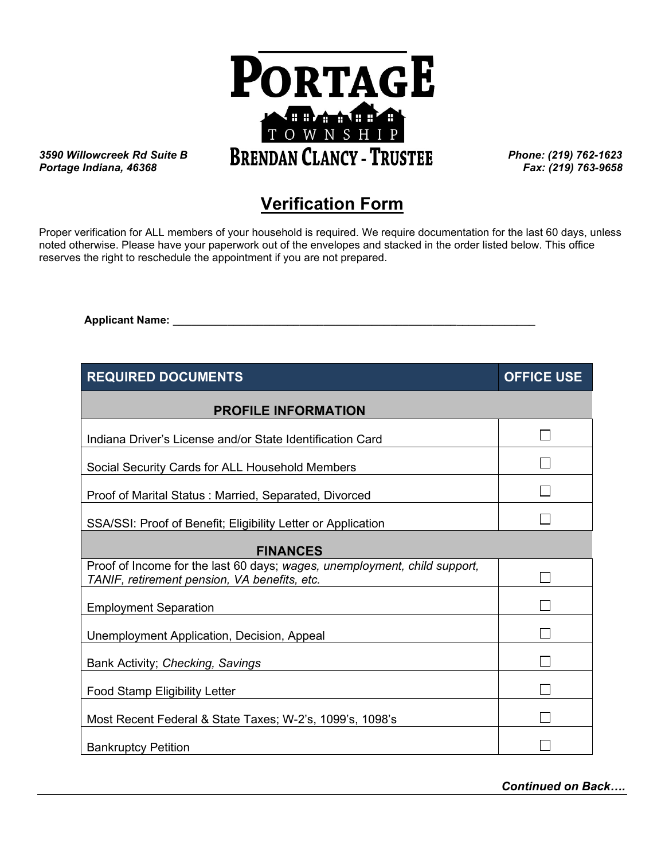

*Portage Indiana, 46368* **\_\_\_\_\_\_\_i\_** *Fax: (219) 763-9658*

## **Verification Form**

Proper verification for ALL members of your household is required. We require documentation for the last 60 days, unless noted otherwise. Please have your paperwork out of the envelopes and stacked in the order listed below. This office reserves the right to reschedule the appointment if you are not prepared.

 **Applicant Name: \_\_\_\_\_\_\_\_\_\_\_\_\_\_\_\_\_\_\_\_\_\_\_\_\_\_\_\_\_\_\_\_\_\_\_\_\_\_\_\_\_\_\_\_\_\_\_**\_\_\_\_\_\_\_\_\_\_\_\_\_

| <b>REQUIRED DOCUMENTS</b>                                                                                                 | <b>OFFICE USE</b> |  |
|---------------------------------------------------------------------------------------------------------------------------|-------------------|--|
| <b>PROFILE INFORMATION</b>                                                                                                |                   |  |
| Indiana Driver's License and/or State Identification Card                                                                 |                   |  |
| Social Security Cards for ALL Household Members                                                                           |                   |  |
| Proof of Marital Status: Married, Separated, Divorced                                                                     |                   |  |
| SSA/SSI: Proof of Benefit; Eligibility Letter or Application                                                              |                   |  |
| <b>FINANCES</b>                                                                                                           |                   |  |
| Proof of Income for the last 60 days; wages, unemployment, child support,<br>TANIF, retirement pension, VA benefits, etc. |                   |  |
| <b>Employment Separation</b>                                                                                              |                   |  |
| Unemployment Application, Decision, Appeal                                                                                |                   |  |
| Bank Activity; Checking, Savings                                                                                          |                   |  |
| <b>Food Stamp Eligibility Letter</b>                                                                                      |                   |  |
| Most Recent Federal & State Taxes; W-2's, 1099's, 1098's                                                                  |                   |  |
| <b>Bankruptcy Petition</b>                                                                                                |                   |  |

*Continued on Back….*